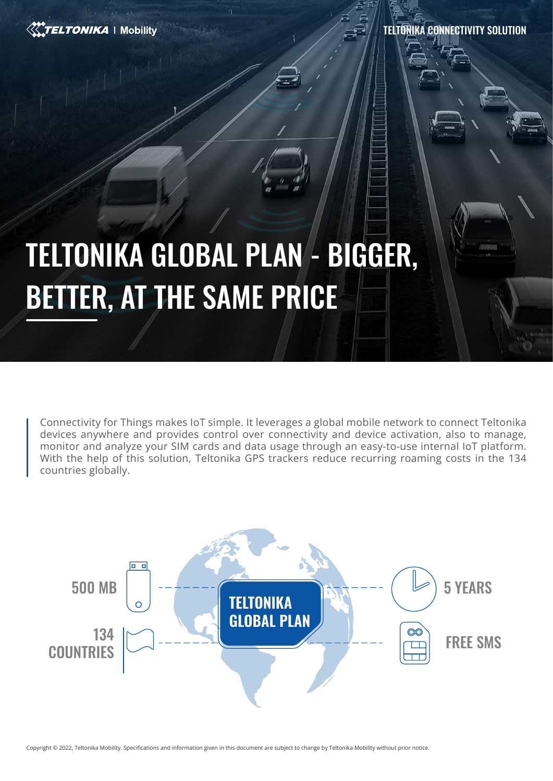

TELTONIKA CONNECTIVITY SOLUTION

# TELTONIKA GLOBAL PLAN - BIGGER, BETTER, AT THE SAME PRICE

Connectivity for Things makes IoT simple. It leverages a global mobile network to connect Teltonika devices anywhere and provides control over connectivity and device activation, also to manage, monitor and analyze your SIM cards and data usage through an easy-to-use internal IoT platform. With the help of this solution, Teltonika GPS trackers reduce recurring roaming costs in the 134 countries globally.



Copyright © 2022, Teltonika Mobility. Specifications and information given in this document are subject to change by Teltonika Mobility without prior notice.